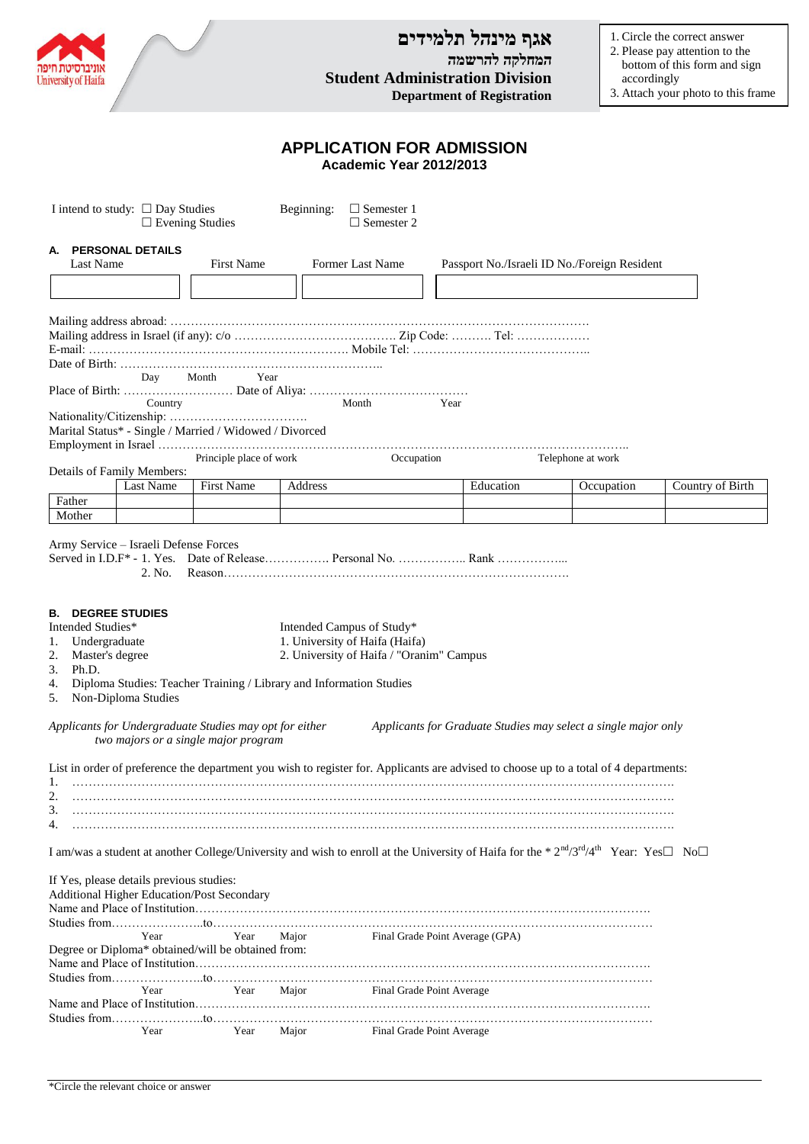| University of Haifa                                                                                                                                                                                                                                                                                                                                                                  |                         | <b>Student Administration Division</b>       | אגף מינהל תלמידים<br>המחלקה להרשמה<br><b>Department of Registration</b> |                   | 1. Circle the correct answer<br>2. Please pay attention to the<br>bottom of this form and sign<br>accordingly<br>3. Attach your photo to this frame |  |  |  |  |  |  |
|--------------------------------------------------------------------------------------------------------------------------------------------------------------------------------------------------------------------------------------------------------------------------------------------------------------------------------------------------------------------------------------|-------------------------|----------------------------------------------|-------------------------------------------------------------------------|-------------------|-----------------------------------------------------------------------------------------------------------------------------------------------------|--|--|--|--|--|--|
| <b>APPLICATION FOR ADMISSION</b><br>Academic Year 2012/2013                                                                                                                                                                                                                                                                                                                          |                         |                                              |                                                                         |                   |                                                                                                                                                     |  |  |  |  |  |  |
| I intend to study: $\square$ Day Studies<br>Beginning:<br>$\Box$ Semester 1<br>$\Box$ Semester 2<br>$\Box$ Evening Studies                                                                                                                                                                                                                                                           |                         |                                              |                                                                         |                   |                                                                                                                                                     |  |  |  |  |  |  |
| A. PERSONAL DETAILS<br><b>First Name</b><br>Last Name                                                                                                                                                                                                                                                                                                                                | <b>Former Last Name</b> | Passport No./Israeli ID No./Foreign Resident |                                                                         |                   |                                                                                                                                                     |  |  |  |  |  |  |
|                                                                                                                                                                                                                                                                                                                                                                                      |                         |                                              |                                                                         |                   |                                                                                                                                                     |  |  |  |  |  |  |
|                                                                                                                                                                                                                                                                                                                                                                                      |                         |                                              |                                                                         |                   |                                                                                                                                                     |  |  |  |  |  |  |
| Month<br>Year<br>Day                                                                                                                                                                                                                                                                                                                                                                 |                         |                                              |                                                                         |                   |                                                                                                                                                     |  |  |  |  |  |  |
| Country<br>Month<br>Year<br>Marital Status* - Single / Married / Widowed / Divorced                                                                                                                                                                                                                                                                                                  |                         |                                              |                                                                         |                   |                                                                                                                                                     |  |  |  |  |  |  |
| Principle place of work<br>Details of Family Members:                                                                                                                                                                                                                                                                                                                                |                         | Occupation                                   |                                                                         | Telephone at work |                                                                                                                                                     |  |  |  |  |  |  |
| First Name<br><b>Last Name</b>                                                                                                                                                                                                                                                                                                                                                       | Address                 |                                              | Education                                                               | Occupation        | Country of Birth                                                                                                                                    |  |  |  |  |  |  |
| Father<br>Mother                                                                                                                                                                                                                                                                                                                                                                     |                         |                                              |                                                                         |                   |                                                                                                                                                     |  |  |  |  |  |  |
| Army Service – Israeli Defense Forces<br>2. No.<br><b>B. DEGREE STUDIES</b><br>Intended Studies*<br>Intended Campus of Study*<br>1. University of Haifa (Haifa)<br>Undergraduate<br>1.<br>2. University of Haifa / "Oranim" Campus<br>2.<br>Master's degree<br>3.<br>Ph.D.<br>Diploma Studies: Teacher Training / Library and Information Studies<br>4.<br>Non-Diploma Studies<br>5. |                         |                                              |                                                                         |                   |                                                                                                                                                     |  |  |  |  |  |  |
| Applicants for Undergraduate Studies may opt for either<br>Applicants for Graduate Studies may select a single major only<br>two majors or a single major program                                                                                                                                                                                                                    |                         |                                              |                                                                         |                   |                                                                                                                                                     |  |  |  |  |  |  |
| List in order of preference the department you wish to register for. Applicants are advised to choose up to a total of 4 departments:<br>1.<br>2.<br>3.<br>4.                                                                                                                                                                                                                        |                         |                                              |                                                                         |                   |                                                                                                                                                     |  |  |  |  |  |  |
| I am/was a student at another College/University and wish to enroll at the University of Haifa for the * $2^{nd}/3^{rd}/4^{th}$ Year: Yes $\Box$ No $\Box$                                                                                                                                                                                                                           |                         |                                              |                                                                         |                   |                                                                                                                                                     |  |  |  |  |  |  |
| If Yes, please details previous studies:<br>Additional Higher Education/Post Secondary<br>Year<br>Year<br>Degree or Diploma* obtained/will be obtained from:                                                                                                                                                                                                                         | Major                   | Final Grade Point Average (GPA)              |                                                                         |                   |                                                                                                                                                     |  |  |  |  |  |  |
| Year<br>Year                                                                                                                                                                                                                                                                                                                                                                         | Major                   | Final Grade Point Average                    |                                                                         |                   |                                                                                                                                                     |  |  |  |  |  |  |
| Year<br>Year                                                                                                                                                                                                                                                                                                                                                                         | Major                   | Final Grade Point Average                    |                                                                         |                   |                                                                                                                                                     |  |  |  |  |  |  |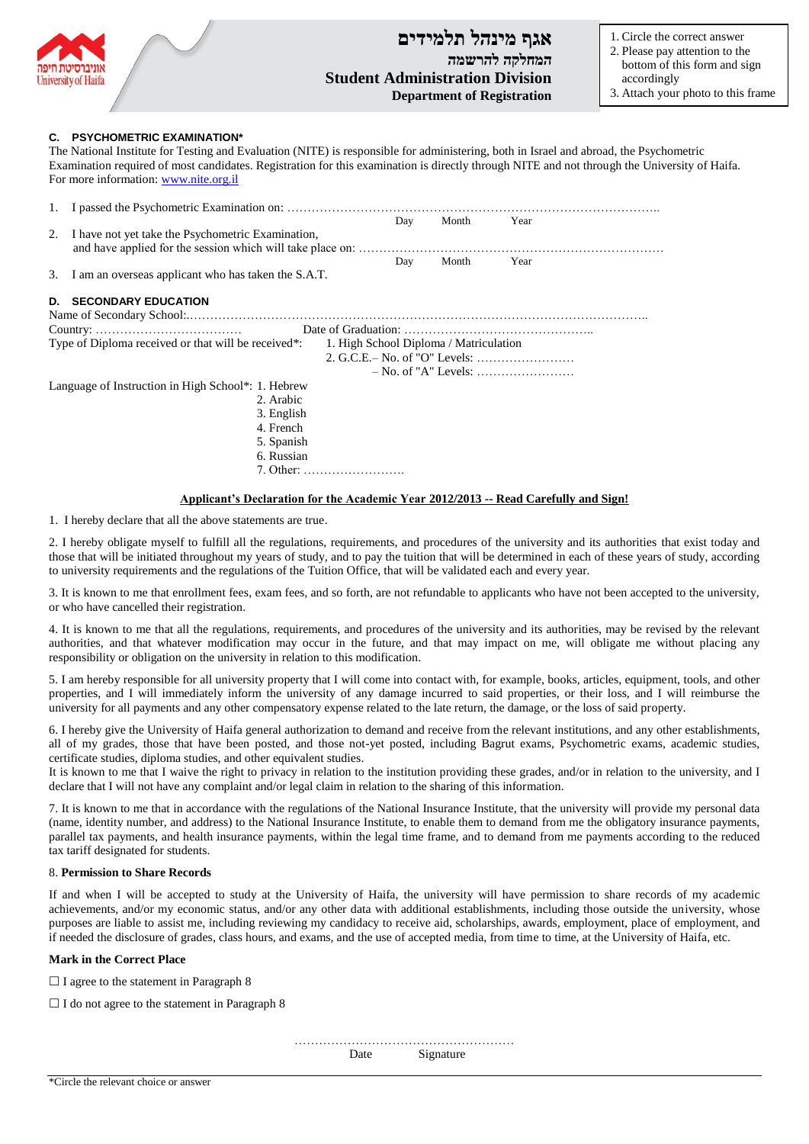

# **אגף מינהל תלמידים המחלקה להרשמה Student Administration Division Department of Registration**

1. Circle the correct answer

- 2. Please pay attention to the bottom of this form and sign accordingly
- 3. Attach your photo to this frame

## **C. PSYCHOMETRIC EXAMINATION\***

The National Institute for Testing and Evaluation (NITE) is responsible for administering, both in Israel and abroad, the Psychometric Examination required of most candidates. Registration for this examination is directly through NITE and not through the University of Haifa. For more information[: www.nite.org.il](http://www.nite.org.il/)

|                                                                                                            |                            | Day | Month | Year |  |  |  |  |
|------------------------------------------------------------------------------------------------------------|----------------------------|-----|-------|------|--|--|--|--|
| I have not yet take the Psychometric Examination,<br>2.                                                    |                            |     |       |      |  |  |  |  |
|                                                                                                            |                            | Day | Month | Year |  |  |  |  |
| I am an overseas applicant who has taken the S.A.T.<br>3.                                                  |                            |     |       |      |  |  |  |  |
| D.                                                                                                         | <b>SECONDARY EDUCATION</b> |     |       |      |  |  |  |  |
|                                                                                                            |                            |     |       |      |  |  |  |  |
| Type of Diploma received or that will be received <sup>*</sup> :<br>1. High School Diploma / Matriculation |                            |     |       |      |  |  |  |  |
|                                                                                                            |                            |     |       |      |  |  |  |  |
|                                                                                                            |                            |     |       |      |  |  |  |  |
|                                                                                                            |                            |     |       |      |  |  |  |  |
| Language of Instruction in High School*: 1. Hebrew                                                         |                            |     |       |      |  |  |  |  |
|                                                                                                            | 2. Arabic                  |     |       |      |  |  |  |  |
|                                                                                                            | 3. English                 |     |       |      |  |  |  |  |
|                                                                                                            | 4. French                  |     |       |      |  |  |  |  |
|                                                                                                            | 5. Spanish                 |     |       |      |  |  |  |  |
|                                                                                                            | 6. Russian                 |     |       |      |  |  |  |  |
|                                                                                                            | 7 Other:                   |     |       |      |  |  |  |  |

### **Applicant's Declaration for the Academic Year 2012/2013 -- Read Carefully and Sign!**

1. I hereby declare that all the above statements are true.

2. I hereby obligate myself to fulfill all the regulations, requirements, and procedures of the university and its authorities that exist today and those that will be initiated throughout my years of study, and to pay the tuition that will be determined in each of these years of study, according to university requirements and the regulations of the Tuition Office, that will be validated each and every year.

3. It is known to me that enrollment fees, exam fees, and so forth, are not refundable to applicants who have not been accepted to the university, or who have cancelled their registration.

4. It is known to me that all the regulations, requirements, and procedures of the university and its authorities, may be revised by the relevant authorities, and that whatever modification may occur in the future, and that may impact on me, will obligate me without placing any responsibility or obligation on the university in relation to this modification.

5. I am hereby responsible for all university property that I will come into contact with, for example, books, articles, equipment, tools, and other properties, and I will immediately inform the university of any damage incurred to said properties, or their loss, and I will reimburse the university for all payments and any other compensatory expense related to the late return, the damage, or the loss of said property.

6. I hereby give the University of Haifa general authorization to demand and receive from the relevant institutions, and any other establishments, all of my grades, those that have been posted, and those not-yet posted, including Bagrut exams, Psychometric exams, academic studies, certificate studies, diploma studies, and other equivalent studies.

It is known to me that I waive the right to privacy in relation to the institution providing these grades, and/or in relation to the university, and I declare that I will not have any complaint and/or legal claim in relation to the sharing of this information.

7. It is known to me that in accordance with the regulations of the National Insurance Institute, that the university will provide my personal data (name, identity number, and address) to the National Insurance Institute, to enable them to demand from me the obligatory insurance payments, parallel tax payments, and health insurance payments, within the legal time frame, and to demand from me payments according to the reduced tax tariff designated for students.

#### 8. **Permission to Share Records**

If and when I will be accepted to study at the University of Haifa, the university will have permission to share records of my academic achievements, and/or my economic status, and/or any other data with additional establishments, including those outside the university, whose purposes are liable to assist me, including reviewing my candidacy to receive aid, scholarships, awards, employment, place of employment, and if needed the disclosure of grades, class hours, and exams, and the use of accepted media, from time to time, at the University of Haifa, etc.

#### **Mark in the Correct Place**

 $\Box$  I agree to the statement in Paragraph 8

 $\Box$  I do not agree to the statement in Paragraph 8

……………………………………………… Date Signature